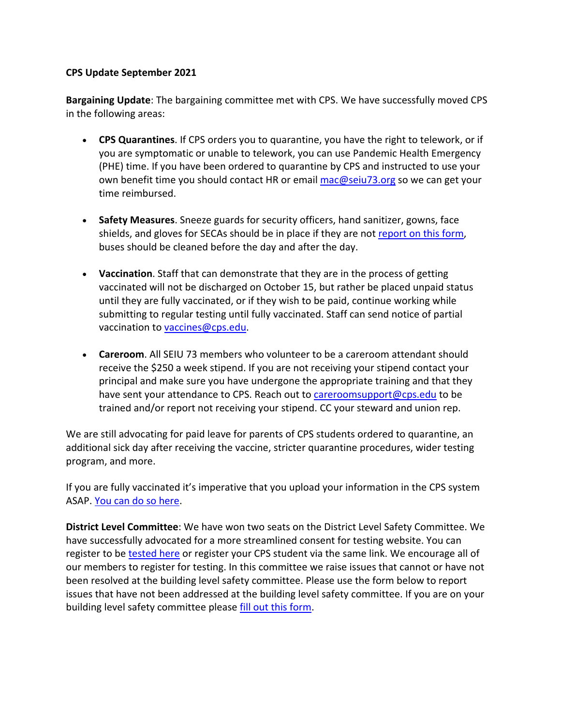## **CPS Update September 2021**

**Bargaining Update**: The bargaining committee met with CPS. We have successfully moved CPS in the following areas:

- **CPS Quarantines**. If CPS orders you to quarantine, you have the right to telework, or if you are symptomatic or unable to telework, you can use Pandemic Health Emergency (PHE) time. If you have been ordered to quarantine by CPS and instructed to use your own benefit time you should contact HR or email mac@seiu73.org so we can get your time reimbursed.
- **Safety Measures**. Sneeze guards for security officers, hand sanitizer, gowns, face shields, and gloves for SECAs should be in place if they are not report on this form, buses should be cleaned before the day and after the day.
- **Vaccination**. Staff that can demonstrate that they are in the process of getting vaccinated will not be discharged on October 15, but rather be placed unpaid status until they are fully vaccinated, or if they wish to be paid, continue working while submitting to regular testing until fully vaccinated. Staff can send notice of partial vaccination to vaccines@cps.edu.
- **Careroom**. All SEIU 73 members who volunteer to be a careroom attendant should receive the \$250 a week stipend. If you are not receiving your stipend contact your principal and make sure you have undergone the appropriate training and that they have sent your attendance to CPS. Reach out to careroomsupport@cps.edu to be trained and/or report not receiving your stipend. CC your steward and union rep.

We are still advocating for paid leave for parents of CPS students ordered to quarantine, an additional sick day after receiving the vaccine, stricter quarantine procedures, wider testing program, and more.

If you are fully vaccinated it's imperative that you upload your information in the CPS system ASAP. You can do so here.

**District Level Committee**: We have won two seats on the District Level Safety Committee. We have successfully advocated for a more streamlined consent for testing website. You can register to be tested here or register your CPS student via the same link. We encourage all of our members to register for testing. In this committee we raise issues that cannot or have not been resolved at the building level safety committee. Please use the form below to report issues that have not been addressed at the building level safety committee. If you are on your building level safety committee please fill out this form.